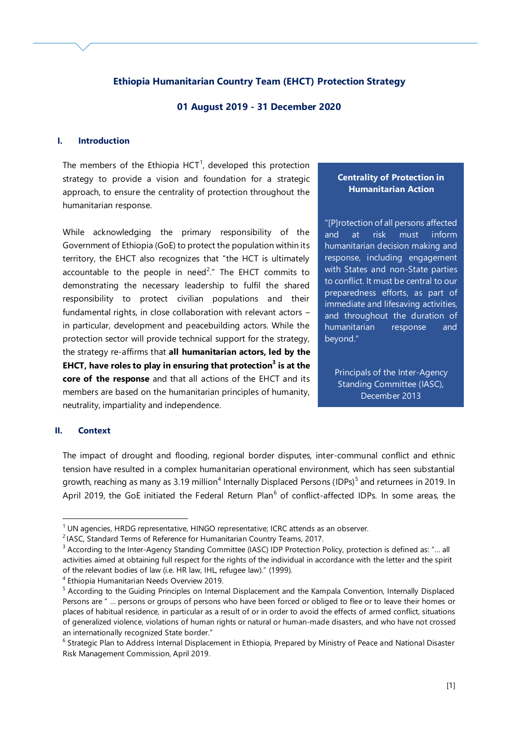## **Ethiopia Humanitarian Country Team (EHCT) Protection Strategy**

### **01 August 2019 - 31 December 2020**

### **I. Introduction**

The members of the Ethiopia  $HCT<sup>1</sup>$ , developed this protection strategy to provide a vision and foundation for a strategic approach, to ensure the centrality of protection throughout the humanitarian response.

While acknowledging the primary responsibility of the Government of Ethiopia (GoE) to protect the population within its territory, the EHCT also recognizes that "the HCT is ultimately accountable to the people in need<sup>2</sup>." The EHCT commits to demonstrating the necessary leadership to fulfil the shared responsibility to protect civilian populations and their fundamental rights, in close collaboration with relevant actors – in particular, development and peacebuilding actors. While the protection sector will provide technical support for the strategy, the strategy re-affirms that **all humanitarian actors, led by the EHCT, have roles to play in ensuring that protection<sup>3</sup> is at the core of the response** and that all actions of the EHCT and its members are based on the humanitarian principles of humanity, neutrality, impartiality and independence.

# **Centrality of Protection in Humanitarian Action**

"[P]rotection of all persons affected and at risk must inform humanitarian decision making and response, including engagement with States and non-State parties to conflict. It must be central to our preparedness efforts, as part of immediate and lifesaving activities, and throughout the duration of humanitarian response and beyond."

Principals of the Inter-Agency Standing Committee (IASC), December 2013

#### **II. Context**

1

The impact of drought and flooding, regional border disputes, inter-communal conflict and ethnic tension have resulted in a complex humanitarian operational environment, which has seen substantial growth, reaching as many as 3.19 million<sup>4</sup> Internally Displaced Persons (IDPs)<sup>5</sup> and returnees in 2019. In April 2019, the GoE initiated the Federal Return Plan<sup>6</sup> of conflict-affected IDPs. In some areas, the

 $1$  UN agencies, HRDG representative, HINGO representative; ICRC attends as an observer.

<sup>&</sup>lt;sup>2</sup> IASC, Standard Terms of Reference for Humanitarian Country Teams, 2017.

<sup>&</sup>lt;sup>3</sup> According to the Inter-Agency Standing Committee (IASC) IDP Protection Policy, protection is defined as: "... all activities aimed at obtaining full respect for the rights of the individual in accordance with the letter and the spirit of the relevant bodies of law (i.e. HR law, IHL, refugee law)." (1999).

<sup>4</sup> Ethiopia Humanitarian Needs Overview 2019.

<sup>5</sup> According to the Guiding Principles on Internal Displacement and the Kampala Convention, Internally Displaced Persons are " … persons or groups of persons who have been forced or obliged to flee or to leave their homes or places of habitual residence, in particular as a result of or in order to avoid the effects of armed conflict, situations of generalized violence, violations of human rights or natural or human-made disasters, and who have not crossed an internationally recognized State border."

<sup>&</sup>lt;sup>6</sup> Strategic Plan to Address Internal Displacement in Ethiopia, Prepared by Ministry of Peace and National Disaster Risk Management Commission, April 2019.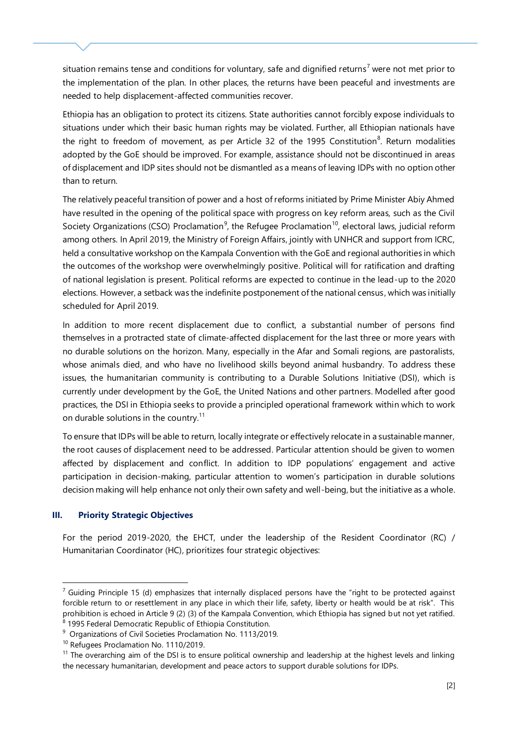situation remains tense and conditions for voluntary, safe and dignified returns<sup>7</sup> were not met prior to the implementation of the plan. In other places, the returns have been peaceful and investments are needed to help displacement-affected communities recover.

Ethiopia has an obligation to protect its citizens. State authorities cannot forcibly expose individuals to situations under which their basic human rights may be violated. Further, all Ethiopian nationals have the right to freedom of movement, as per Article 32 of the 1995 Constitution<sup>8</sup>. Return modalities adopted by the GoE should be improved. For example, assistance should not be discontinued in areas of displacement and IDP sites should not be dismantled as a means of leaving IDPs with no option other than to return.

The relatively peaceful transition of power and a host of reforms initiated by Prime Minister Abiy Ahmed have resulted in the opening of the political space with progress on key reform areas, such as the Civil Society Organizations (CSO) Proclamation<sup>9</sup>, the Refugee Proclamation<sup>10</sup>, electoral laws, judicial reform among others. In April 2019, the Ministry of Foreign Affairs, jointly with UNHCR and support from ICRC, held a consultative workshop on the Kampala Convention with the GoE and regional authorities in which the outcomes of the workshop were overwhelmingly positive. Political will for ratification and drafting of national legislation is present. Political reforms are expected to continue in the lead-up to the 2020 elections. However, a setback was the indefinite postponement of the national census, which was initially scheduled for April 2019.

In addition to more recent displacement due to conflict, a substantial number of persons find themselves in a protracted state of climate-affected displacement for the last three or more years with no durable solutions on the horizon. Many, especially in the Afar and Somali regions, are pastoralists, whose animals died, and who have no livelihood skills beyond animal husbandry. To address these issues, the humanitarian community is contributing to a Durable Solutions Initiative (DSI), which is currently under development by the GoE, the United Nations and other partners. Modelled after good practices, the DSI in Ethiopia seeks to provide a principled operational framework within which to work on durable solutions in the country.<sup>11</sup>

To ensure that IDPs will be able to return, locally integrate or effectively relocate in a sustainable manner, the root causes of displacement need to be addressed. Particular attention should be given to women affected by displacement and conflict. In addition to IDP populations' engagement and active participation in decision-making, particular attention to women's participation in durable solutions decision making will help enhance not only their own safety and well-being, but the initiative as a whole.

### **III. Priority Strategic Objectives**

1

For the period 2019-2020, the EHCT, under the leadership of the Resident Coordinator (RC) / Humanitarian Coordinator (HC), prioritizes four strategic objectives:

 $7$  Guiding Principle 15 (d) emphasizes that internally displaced persons have the "right to be protected against forcible return to or resettlement in any place in which their life, safety, liberty or health would be at risk". This prohibition is echoed in Article 9 (2) (3) of the Kampala Convention, which Ethiopia has signed but not yet ratified. <sup>8</sup> 1995 Federal Democratic Republic of Ethiopia Constitution.

<sup>&</sup>lt;sup>9</sup> Organizations of Civil Societies Proclamation No. 1113/2019.

<sup>&</sup>lt;sup>10</sup> Refugees Proclamation No. 1110/2019.

 $11$  The overarching aim of the DSI is to ensure political ownership and leadership at the highest levels and linking the necessary humanitarian, development and peace actors to support durable solutions for IDPs.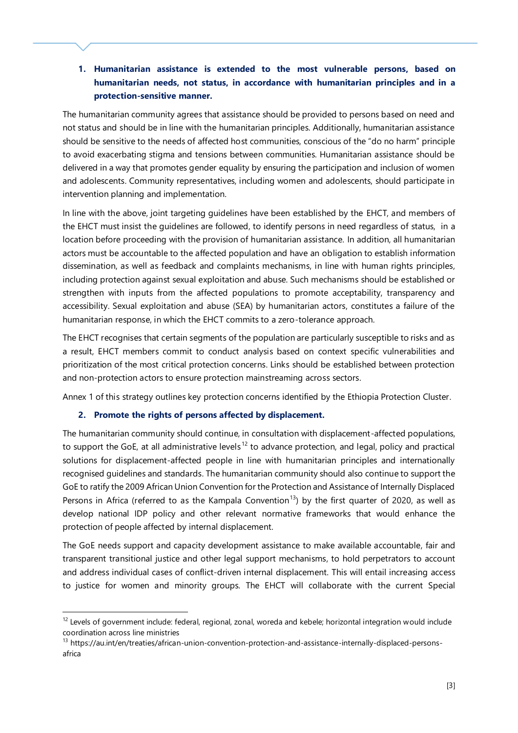**1. Humanitarian assistance is extended to the most vulnerable persons, based on humanitarian needs, not status, in accordance with humanitarian principles and in a protection-sensitive manner.** 

The humanitarian community agrees that assistance should be provided to persons based on need and not status and should be in line with the humanitarian principles. Additionally, humanitarian assistance should be sensitive to the needs of affected host communities, conscious of the "do no harm" principle to avoid exacerbating stigma and tensions between communities. Humanitarian assistance should be delivered in a way that promotes gender equality by ensuring the participation and inclusion of women and adolescents. Community representatives, including women and adolescents, should participate in intervention planning and implementation.

In line with the above, joint targeting guidelines have been established by the EHCT, and members of the EHCT must insist the guidelines are followed, to identify persons in need regardless of status, in a location before proceeding with the provision of humanitarian assistance. In addition, all humanitarian actors must be accountable to the affected population and have an obligation to establish information dissemination, as well as feedback and complaints mechanisms, in line with human rights principles, including protection against sexual exploitation and abuse. Such mechanisms should be established or strengthen with inputs from the affected populations to promote acceptability, transparency and accessibility. Sexual exploitation and abuse (SEA) by humanitarian actors, constitutes a failure of the humanitarian response, in which the EHCT commits to a zero-tolerance approach.

The EHCT recognises that certain segments of the population are particularly susceptible to risks and as a result, EHCT members commit to conduct analysis based on context specific vulnerabilities and prioritization of the most critical protection concerns. Links should be established between protection and non-protection actors to ensure protection mainstreaming across sectors.

Annex 1 of this strategy outlines key protection concerns identified by the Ethiopia Protection Cluster.

## **2. Promote the rights of persons affected by displacement.**

1

The humanitarian community should continue, in consultation with displacement-affected populations, to support the GoE, at all administrative levels<sup>12</sup> to advance protection, and legal, policy and practical solutions for displacement-affected people in line with humanitarian principles and internationally recognised guidelines and standards. The humanitarian community should also continue to support the GoE to ratify the 2009 African Union Convention for the Protection and Assistance of Internally Displaced Persons in Africa (referred to as the Kampala Convention<sup>13</sup>) by the first quarter of 2020, as well as develop national IDP policy and other relevant normative frameworks that would enhance the protection of people affected by internal displacement.

The GoE needs support and capacity development assistance to make available accountable, fair and transparent transitional justice and other legal support mechanisms, to hold perpetrators to account and address individual cases of conflict-driven internal displacement. This will entail increasing access to justice for women and minority groups. The EHCT will collaborate with the current Special

 $12$  Levels of government include: federal, regional, zonal, woreda and kebele; horizontal integration would include coordination across line ministries

<sup>&</sup>lt;sup>13</sup> https://au.int/en/treaties/african-union-convention-protection-and-assistance-internally-displaced-personsafrica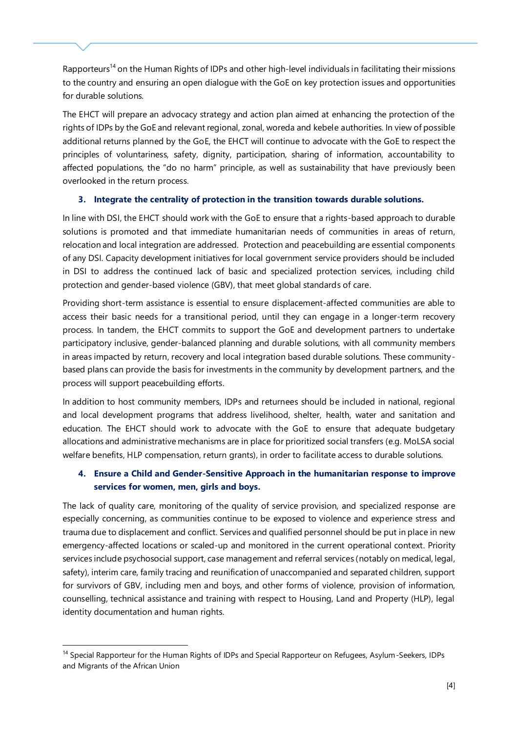Rapporteurs<sup>14</sup> on the Human Rights of IDPs and other high-level individuals in facilitating their missions to the country and ensuring an open dialogue with the GoE on key protection issues and opportunities for durable solutions.

The EHCT will prepare an advocacy strategy and action plan aimed at enhancing the protection of the rights of IDPs by the GoE and relevant regional, zonal, woreda and kebele authorities. In view of possible additional returns planned by the GoE, the EHCT will continue to advocate with the GoE to respect the principles of voluntariness, safety, dignity, participation, sharing of information, accountability to affected populations, the "do no harm" principle, as well as sustainability that have previously been overlooked in the return process.

## **3. Integrate the centrality of protection in the transition towards durable solutions.**

In line with DSI, the EHCT should work with the GoE to ensure that a rights-based approach to durable solutions is promoted and that immediate humanitarian needs of communities in areas of return, relocation and local integration are addressed. Protection and peacebuilding are essential components of any DSI. Capacity development initiatives for local government service providers should be included in DSI to address the continued lack of basic and specialized protection services, including child protection and gender-based violence (GBV), that meet global standards of care.

Providing short-term assistance is essential to ensure displacement-affected communities are able to access their basic needs for a transitional period, until they can engage in a longer-term recovery process. In tandem, the EHCT commits to support the GoE and development partners to undertake participatory inclusive, gender-balanced planning and durable solutions, with all community members in areas impacted by return, recovery and local integration based durable solutions. These communitybased plans can provide the basis for investments in the community by development partners, and the process will support peacebuilding efforts.

In addition to host community members, IDPs and returnees should be included in national, regional and local development programs that address livelihood, shelter, health, water and sanitation and education. The EHCT should work to advocate with the GoE to ensure that adequate budgetary allocations and administrative mechanisms are in place for prioritized social transfers (e.g. MoLSA social welfare benefits, HLP compensation, return grants), in order to facilitate access to durable solutions.

## **4. Ensure a Child and Gender-Sensitive Approach in the humanitarian response to improve services for women, men, girls and boys.**

The lack of quality care, monitoring of the quality of service provision, and specialized response are especially concerning, as communities continue to be exposed to violence and experience stress and trauma due to displacement and conflict. Services and qualified personnel should be put in place in new emergency-affected locations or scaled-up and monitored in the current operational context. Priority services include psychosocial support, case management and referral services (notably on medical, legal, safety), interim care, family tracing and reunification of unaccompanied and separated children, support for survivors of GBV, including men and boys, and other forms of violence, provision of information, counselling, technical assistance and training with respect to Housing, Land and Property (HLP), legal identity documentation and human rights.

1

<sup>&</sup>lt;sup>14</sup> Special Rapporteur for the Human Rights of IDPs and Special Rapporteur on Refugees, Asylum-Seekers, IDPs and Migrants of the African Union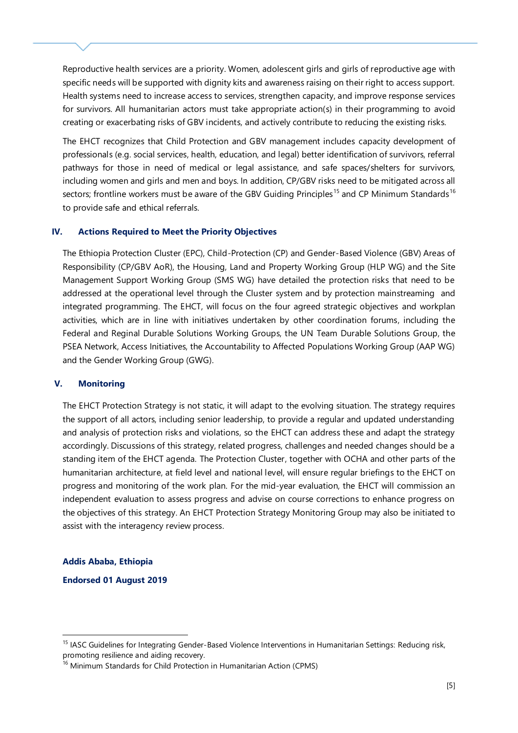Reproductive health services are a priority. Women, adolescent girls and girls of reproductive age with specific needs will be supported with dignity kits and awareness raising on their right to access support. Health systems need to increase access to services, strengthen capacity, and improve response services for survivors. All humanitarian actors must take appropriate action(s) in their programming to avoid creating or exacerbating risks of GBV incidents, and actively contribute to reducing the existing risks.

The EHCT recognizes that Child Protection and GBV management includes capacity development of professionals (e.g. social services, health, education, and legal) better identification of survivors, referral pathways for those in need of medical or legal assistance, and safe spaces/shelters for survivors, including women and girls and men and boys. In addition, CP/GBV risks need to be mitigated across all sectors; frontline workers must be aware of the GBV Guiding Principles<sup>15</sup> and CP Minimum Standards<sup>16</sup> to provide safe and ethical referrals.

### **IV. Actions Required to Meet the Priority Objectives**

The Ethiopia Protection Cluster (EPC), Child-Protection (CP) and Gender-Based Violence (GBV) Areas of Responsibility (CP/GBV AoR), the Housing, Land and Property Working Group (HLP WG) and the Site Management Support Working Group (SMS WG) have detailed the protection risks that need to be addressed at the operational level through the Cluster system and by protection mainstreaming and integrated programming. The EHCT, will focus on the four agreed strategic objectives and workplan activities, which are in line with initiatives undertaken by other coordination forums, including the Federal and Reginal Durable Solutions Working Groups, the UN Team Durable Solutions Group, the PSEA Network, Access Initiatives, the Accountability to Affected Populations Working Group (AAP WG) and the Gender Working Group (GWG).

#### **V. Monitoring**

The EHCT Protection Strategy is not static, it will adapt to the evolving situation. The strategy requires the support of all actors, including senior leadership, to provide a regular and updated understanding and analysis of protection risks and violations, so the EHCT can address these and adapt the strategy accordingly. Discussions of this strategy, related progress, challenges and needed changes should be a standing item of the EHCT agenda. The Protection Cluster, together with OCHA and other parts of the humanitarian architecture, at field level and national level, will ensure regular briefings to the EHCT on progress and monitoring of the work plan. For the mid-year evaluation, the EHCT will commission an independent evaluation to assess progress and advise on course corrections to enhance progress on the objectives of this strategy. An EHCT Protection Strategy Monitoring Group may also be initiated to assist with the interagency review process.

#### **Addis Ababa, Ethiopia**

1

**Endorsed 01 August 2019**

<sup>15</sup> IASC Guidelines for Integrating Gender-Based Violence Interventions in Humanitarian Settings: Reducing risk, promoting resilience and aiding recovery.

<sup>&</sup>lt;sup>16</sup> Minimum Standards for Child Protection in Humanitarian Action (CPMS)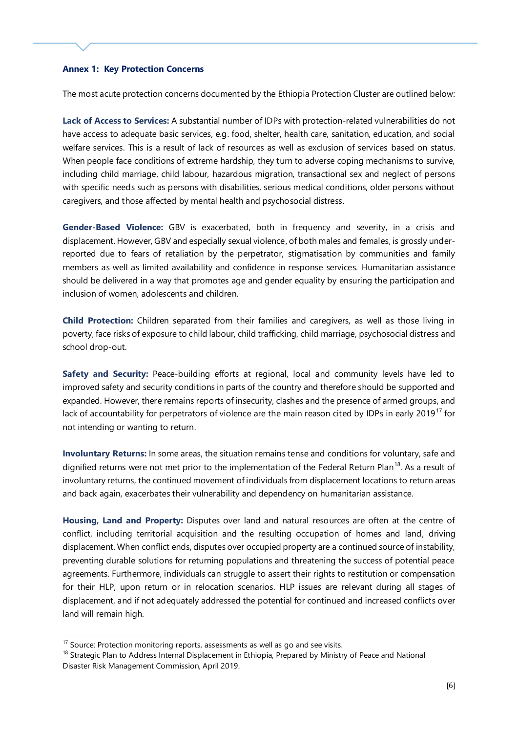#### **Annex 1: Key Protection Concerns**

The most acute protection concerns documented by the Ethiopia Protection Cluster are outlined below:

**Lack of Access to Services:** A substantial number of IDPs with protection-related vulnerabilities do not have access to adequate basic services, e.g. food, shelter, health care, sanitation, education, and social welfare services. This is a result of lack of resources as well as exclusion of services based on status. When people face conditions of extreme hardship, they turn to adverse coping mechanisms to survive, including child marriage, child labour, hazardous migration, transactional sex and neglect of persons with specific needs such as persons with disabilities, serious medical conditions, older persons without caregivers, and those affected by mental health and psychosocial distress.

**Gender-Based Violence:** GBV is exacerbated, both in frequency and severity, in a crisis and displacement. However, GBV and especially sexual violence, of both males and females, is grossly underreported due to fears of retaliation by the perpetrator, stigmatisation by communities and family members as well as limited availability and confidence in response services. Humanitarian assistance should be delivered in a way that promotes age and gender equality by ensuring the participation and inclusion of women, adolescents and children.

**Child Protection:** Children separated from their families and caregivers, as well as those living in poverty, face risks of exposure to child labour, child trafficking, child marriage, psychosocial distress and school drop-out.

**Safety and Security:** Peace-building efforts at regional, local and community levels have led to improved safety and security conditions in parts of the country and therefore should be supported and expanded. However, there remains reports of insecurity, clashes and the presence of armed groups, and lack of accountability for perpetrators of violence are the main reason cited by IDPs in early 2019<sup>17</sup> for not intending or wanting to return.

**Involuntary Returns:** In some areas, the situation remains tense and conditions for voluntary, safe and dignified returns were not met prior to the implementation of the Federal Return Plan<sup>18</sup>. As a result of involuntary returns, the continued movement of individuals from displacement locations to return areas and back again, exacerbates their vulnerability and dependency on humanitarian assistance.

**Housing, Land and Property:** Disputes over land and natural resources are often at the centre of conflict, including territorial acquisition and the resulting occupation of homes and land, driving displacement. When conflict ends, disputes over occupied property are a continued source of instability, preventing durable solutions for returning populations and threatening the success of potential peace agreements. Furthermore, individuals can struggle to assert their rights to restitution or compensation for their HLP, upon return or in relocation scenarios. HLP issues are relevant during all stages of displacement, and if not adequately addressed the potential for continued and increased conflicts over land will remain high.

1

 $17$  Source: Protection monitoring reports, assessments as well as go and see visits.

<sup>&</sup>lt;sup>18</sup> Strategic Plan to Address Internal Displacement in Ethiopia, Prepared by Ministry of Peace and National Disaster Risk Management Commission, April 2019.